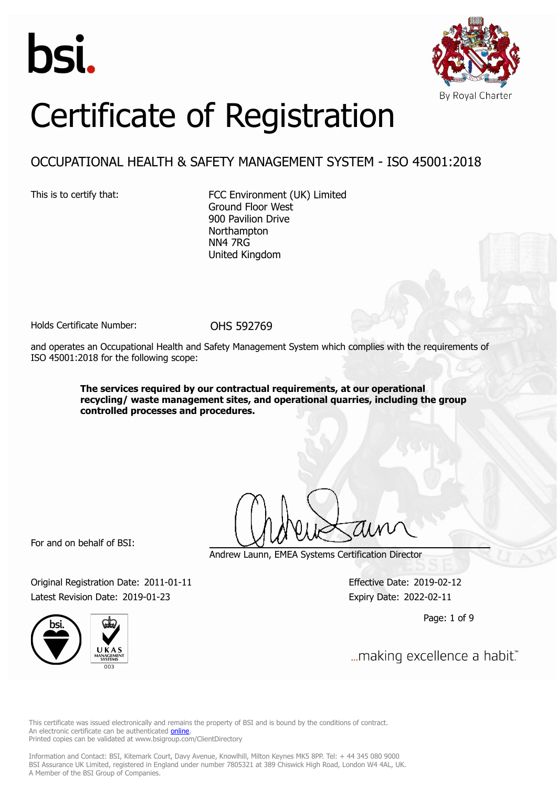



# Certificate of Registration

# OCCUPATIONAL HEALTH & SAFETY MANAGEMENT SYSTEM - ISO 45001:2018

This is to certify that: FCC Environment (UK) Limited Ground Floor West 900 Pavilion Drive **Northampton** NN4 7RG United Kingdom

Holds Certificate Number: 0HS 592769

and operates an Occupational Health and Safety Management System which complies with the requirements of ISO 45001:2018 for the following scope:

> **The services required by our contractual requirements, at our operational recycling/ waste management sites, and operational quarries, including the group controlled processes and procedures.**

For and on behalf of BSI:

Andrew Launn, EMEA Systems Certification Director

Original Registration Date: 2011-01-11 Effective Date: 2019-02-12 Latest Revision Date: 2019-01-23 Expiry Date: 2022-02-11

Page: 1 of 9



... making excellence a habit."

This certificate was issued electronically and remains the property of BSI and is bound by the conditions of contract. An electronic certificate can be authenticated **[online](https://pgplus.bsigroup.com/CertificateValidation/CertificateValidator.aspx?CertificateNumber=OHS+592769&ReIssueDate=23%2f01%2f2019&Template=uk)**. Printed copies can be validated at www.bsigroup.com/ClientDirectory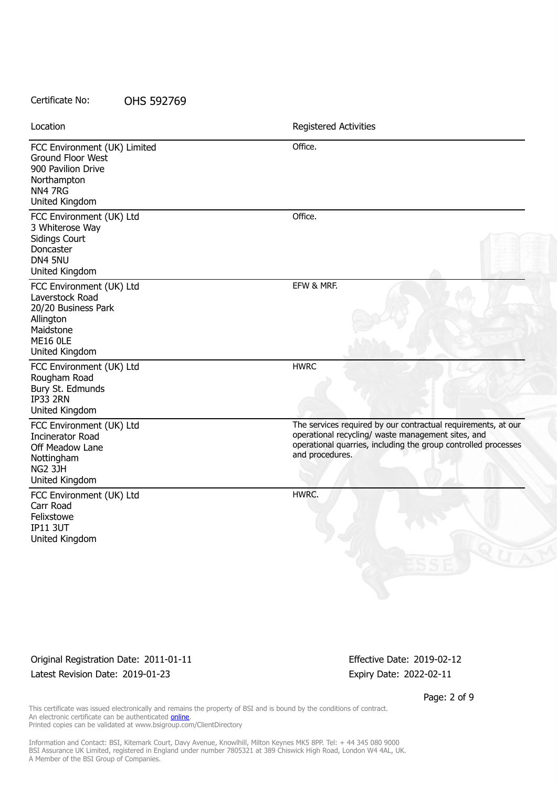| Location                                                                                                                          | Registered Activities                                                                                                                                                                                    |
|-----------------------------------------------------------------------------------------------------------------------------------|----------------------------------------------------------------------------------------------------------------------------------------------------------------------------------------------------------|
| FCC Environment (UK) Limited<br>Ground Floor West<br>900 Pavilion Drive<br>Northampton<br>NN4 7RG<br>United Kingdom               | Office.                                                                                                                                                                                                  |
| FCC Environment (UK) Ltd<br>3 Whiterose Way<br><b>Sidings Court</b><br>Doncaster<br>DN4 5NU<br>United Kingdom                     | Office.                                                                                                                                                                                                  |
| FCC Environment (UK) Ltd<br>Laverstock Road<br>20/20 Business Park<br>Allington<br>Maidstone<br><b>ME16 OLE</b><br>United Kingdom | EFW & MRF.                                                                                                                                                                                               |
| FCC Environment (UK) Ltd<br>Rougham Road<br>Bury St. Edmunds<br><b>IP33 2RN</b><br>United Kingdom                                 | <b>HWRC</b>                                                                                                                                                                                              |
| FCC Environment (UK) Ltd<br><b>Incinerator Road</b><br>Off Meadow Lane<br>Nottingham<br><b>NG2 3JH</b><br>United Kingdom          | The services required by our contractual requirements, at our<br>operational recycling/ waste management sites, and<br>operational quarries, including the group controlled processes<br>and procedures. |
| FCC Environment (UK) Ltd<br>Carr Road<br>Felixstowe<br><b>IP11 3UT</b><br>United Kingdom                                          | HWRC.                                                                                                                                                                                                    |

# Original Registration Date: 2011-01-11 Effective Date: 2019-02-12 Latest Revision Date: 2019-01-23 Expiry Date: 2022-02-11

Page: 2 of 9

This certificate was issued electronically and remains the property of BSI and is bound by the conditions of contract. An electronic certificate can be authenticated **[online](https://pgplus.bsigroup.com/CertificateValidation/CertificateValidator.aspx?CertificateNumber=OHS+592769&ReIssueDate=23%2f01%2f2019&Template=uk)**. Printed copies can be validated at www.bsigroup.com/ClientDirectory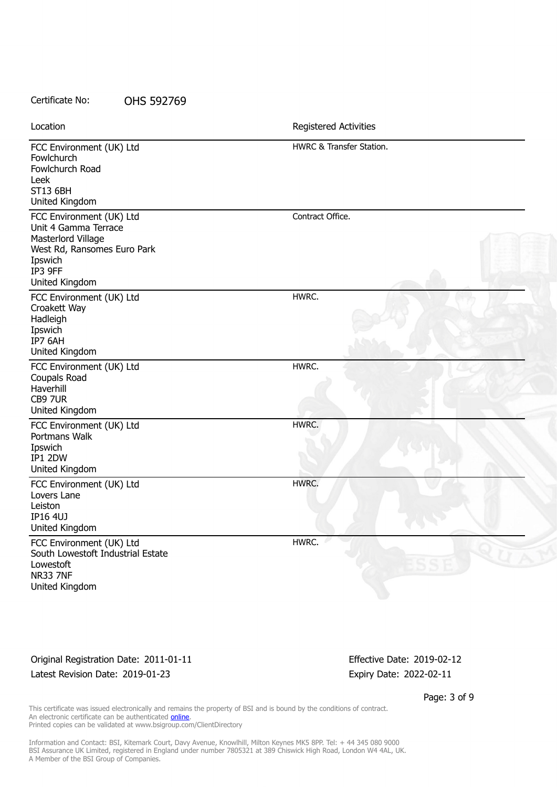| Certificate No: | OHS 592769 |
|-----------------|------------|
|-----------------|------------|

| Location                                                                                                                                      | Registered Activities    |
|-----------------------------------------------------------------------------------------------------------------------------------------------|--------------------------|
| FCC Environment (UK) Ltd<br>Fowlchurch<br>Fowlchurch Road<br>Leek<br><b>ST13 6BH</b><br>United Kingdom                                        | HWRC & Transfer Station. |
| FCC Environment (UK) Ltd<br>Unit 4 Gamma Terrace<br>Masterlord Village<br>West Rd, Ransomes Euro Park<br>Ipswich<br>IP3 9FF<br>United Kingdom | Contract Office.         |
| FCC Environment (UK) Ltd<br>Croakett Way<br>Hadleigh<br>Ipswich<br>IP7 6AH<br>United Kingdom                                                  | HWRC.                    |
| FCC Environment (UK) Ltd<br>Coupals Road<br>Haverhill<br>CB9 7UR<br>United Kingdom                                                            | HWRC.                    |
| FCC Environment (UK) Ltd<br>Portmans Walk<br>Ipswich<br>IP1 2DW<br>United Kingdom                                                             | HWRC.                    |
| FCC Environment (UK) Ltd<br>Lovers Lane<br>Leiston<br><b>IP16 4UJ</b><br>United Kingdom                                                       | HWRC.                    |
| FCC Environment (UK) Ltd<br>South Lowestoft Industrial Estate<br>Lowestoft<br><b>NR33 7NF</b><br>United Kingdom                               | HWRC.                    |

### Original Registration Date: 2011-01-11 Effective Date: 2019-02-12 Latest Revision Date: 2019-01-23 Expiry Date: 2022-02-11

Page: 3 of 9

This certificate was issued electronically and remains the property of BSI and is bound by the conditions of contract. An electronic certificate can be authenticated **[online](https://pgplus.bsigroup.com/CertificateValidation/CertificateValidator.aspx?CertificateNumber=OHS+592769&ReIssueDate=23%2f01%2f2019&Template=uk)**. Printed copies can be validated at www.bsigroup.com/ClientDirectory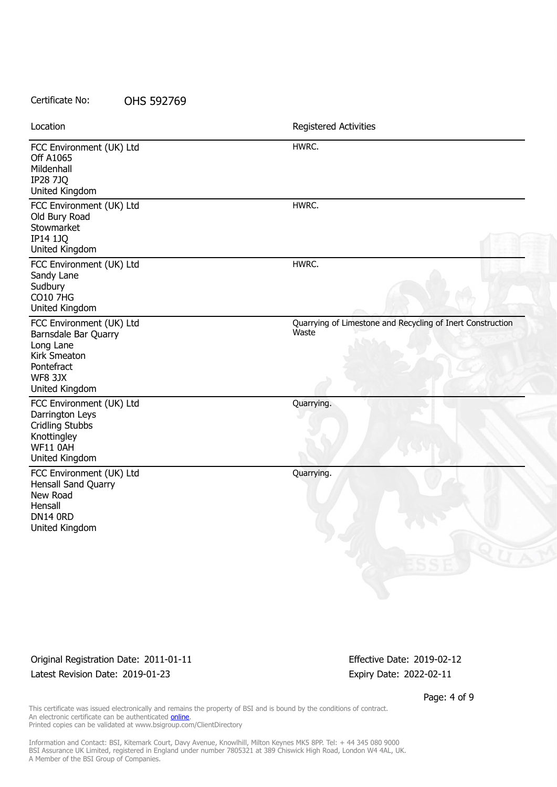| Location                                                                                                                        | Registered Activities                                               |
|---------------------------------------------------------------------------------------------------------------------------------|---------------------------------------------------------------------|
| FCC Environment (UK) Ltd<br><b>Off A1065</b><br>Mildenhall<br><b>IP28 7JQ</b><br>United Kingdom                                 | HWRC.                                                               |
| FCC Environment (UK) Ltd<br>Old Bury Road<br>Stowmarket<br><b>IP14 1JQ</b><br>United Kingdom                                    | HWRC.                                                               |
| FCC Environment (UK) Ltd<br>Sandy Lane<br>Sudbury<br><b>CO10 7HG</b><br>United Kingdom                                          | HWRC.                                                               |
| FCC Environment (UK) Ltd<br>Barnsdale Bar Quarry<br>Long Lane<br>Kirk Smeaton<br>Pontefract<br><b>WF8 3JX</b><br>United Kingdom | Quarrying of Limestone and Recycling of Inert Construction<br>Waste |
| FCC Environment (UK) Ltd<br>Darrington Leys<br><b>Cridling Stubbs</b><br>Knottingley<br>WF11 0AH<br>United Kingdom              | Quarrying.                                                          |
| FCC Environment (UK) Ltd<br>Hensall Sand Quarry<br>New Road<br>Hensall<br><b>DN14 0RD</b><br>United Kingdom                     | Quarrying.                                                          |

## Original Registration Date: 2011-01-11 Effective Date: 2019-02-12 Latest Revision Date: 2019-01-23 Expiry Date: 2022-02-11

Page: 4 of 9

This certificate was issued electronically and remains the property of BSI and is bound by the conditions of contract. An electronic certificate can be authenticated **[online](https://pgplus.bsigroup.com/CertificateValidation/CertificateValidator.aspx?CertificateNumber=OHS+592769&ReIssueDate=23%2f01%2f2019&Template=uk)**. Printed copies can be validated at www.bsigroup.com/ClientDirectory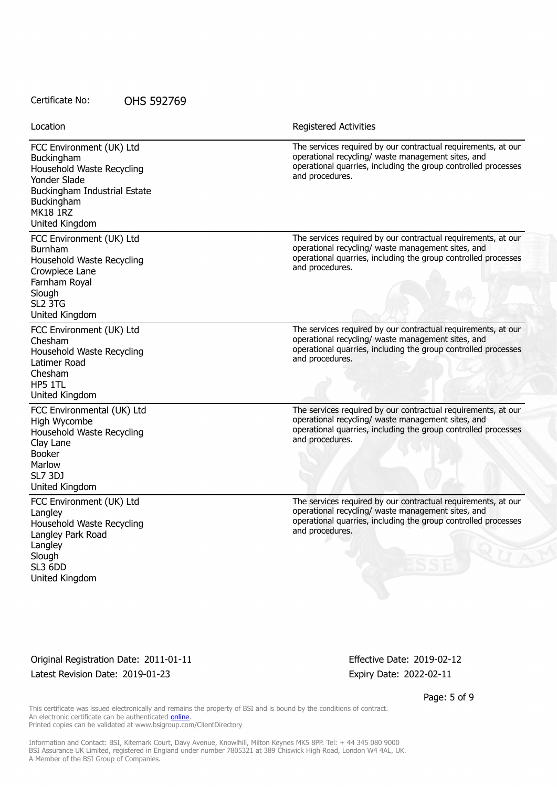| Location                                                                                                                                                               | Registered Activities                                                                                                                                                                                    |
|------------------------------------------------------------------------------------------------------------------------------------------------------------------------|----------------------------------------------------------------------------------------------------------------------------------------------------------------------------------------------------------|
| FCC Environment (UK) Ltd<br>Buckingham<br>Household Waste Recycling<br>Yonder Slade<br>Buckingham Industrial Estate<br>Buckingham<br><b>MK18 1RZ</b><br>United Kingdom | The services required by our contractual requirements, at our<br>operational recycling/ waste management sites, and<br>operational quarries, including the group controlled processes<br>and procedures. |
| FCC Environment (UK) Ltd<br>Burnham<br>Household Waste Recycling<br>Crowpiece Lane<br>Farnham Royal<br>Slough<br>SL <sub>2</sub> 3TG<br>United Kingdom                 | The services required by our contractual requirements, at our<br>operational recycling/ waste management sites, and<br>operational quarries, including the group controlled processes<br>and procedures. |
| FCC Environment (UK) Ltd<br>Chesham<br>Household Waste Recycling<br>Latimer Road<br>Chesham<br>HP5 1TL<br>United Kingdom                                               | The services required by our contractual requirements, at our<br>operational recycling/ waste management sites, and<br>operational quarries, including the group controlled processes<br>and procedures. |
| FCC Environmental (UK) Ltd<br>High Wycombe<br>Household Waste Recycling<br>Clay Lane<br><b>Booker</b><br>Marlow<br><b>SL7 3DJ</b><br>United Kingdom                    | The services required by our contractual requirements, at our<br>operational recycling/ waste management sites, and<br>operational quarries, including the group controlled processes<br>and procedures. |
| FCC Environment (UK) Ltd<br>Langley<br>Household Waste Recycling<br>Langley Park Road<br>Langley<br>Slough<br>SL3 6DD<br>United Kingdom                                | The services required by our contractual requirements, at our<br>operational recycling/ waste management sites, and<br>operational quarries, including the group controlled processes<br>and procedures. |

Original Registration Date: 2011-01-11 Effective Date: 2019-02-12 Latest Revision Date: 2019-01-23 Expiry Date: 2022-02-11

Page: 5 of 9

This certificate was issued electronically and remains the property of BSI and is bound by the conditions of contract. An electronic certificate can be authenticated **[online](https://pgplus.bsigroup.com/CertificateValidation/CertificateValidator.aspx?CertificateNumber=OHS+592769&ReIssueDate=23%2f01%2f2019&Template=uk)**. Printed copies can be validated at www.bsigroup.com/ClientDirectory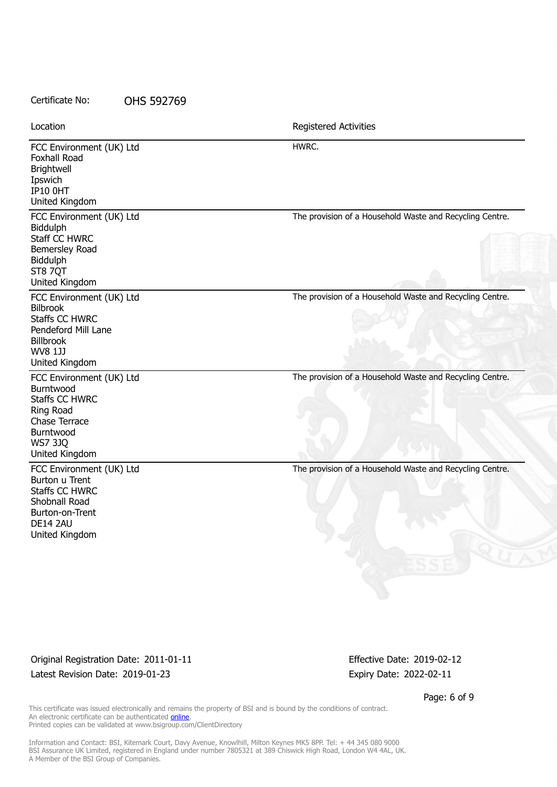| Certificate No:                                                                                                                                     | OHS 592769 |                                                          |
|-----------------------------------------------------------------------------------------------------------------------------------------------------|------------|----------------------------------------------------------|
| Location                                                                                                                                            |            | Registered Activities                                    |
| FCC Environment (UK) Ltd<br>Foxhall Road<br>Brightwell<br>Ipswich<br><b>IP10 OHT</b><br>United Kingdom                                              |            | HWRC.                                                    |
| FCC Environment (UK) Ltd<br>Biddulph<br>Staff CC HWRC<br>Bemersley Road<br>Biddulph<br>ST8 7QT<br>United Kingdom                                    |            | The provision of a Household Waste and Recycling Centre. |
| FCC Environment (UK) Ltd<br><b>Bilbrook</b><br><b>Staffs CC HWRC</b><br>Pendeford Mill Lane<br><b>Billbrook</b><br><b>WV8 1JJ</b><br>United Kingdom |            | The provision of a Household Waste and Recycling Centre. |
| FCC Environment (UK) Ltd<br>Burntwood<br><b>Staffs CC HWRC</b><br>Ring Road<br>Chase Terrace<br>Burntwood<br><b>WS7 3JQ</b><br>United Kingdom       |            | The provision of a Household Waste and Recycling Centre. |
| FCC Environment (UK) Ltd<br>Burton u Trent<br><b>Staffs CC HWRC</b><br>Shobnall Road<br>Burton-on-Trent<br>DE14 2AU<br>United Kingdom               |            | The provision of a Household Waste and Recycling Centre. |

Original Registration Date: 2011-01-11 Effective Date: 2019-02-12 Latest Revision Date: 2019-01-23 Expiry Date: 2022-02-11

Page: 6 of 9

This certificate was issued electronically and remains the property of BSI and is bound by the conditions of contract. An electronic certificate can be authenticated **[online](https://pgplus.bsigroup.com/CertificateValidation/CertificateValidator.aspx?CertificateNumber=OHS+592769&ReIssueDate=23%2f01%2f2019&Template=uk)**. Printed copies can be validated at www.bsigroup.com/ClientDirectory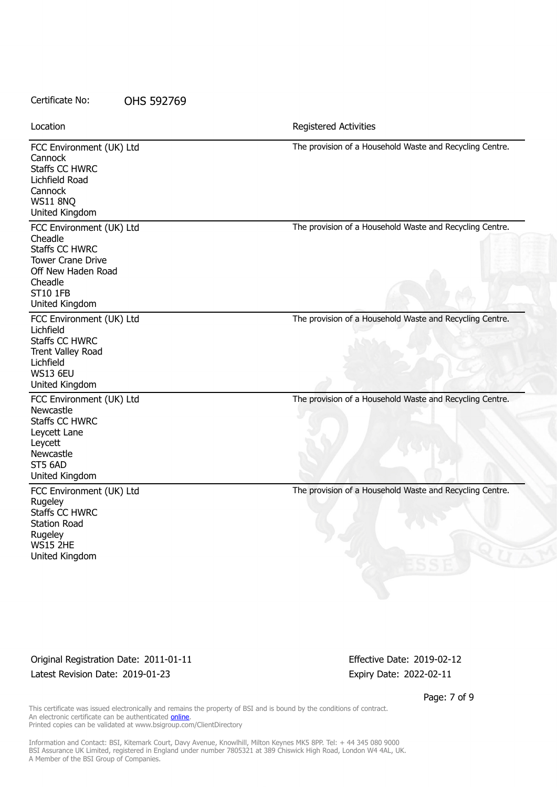FCC Environment (UK) Ltd **Cannock** Staffs CC HWRC Lichfield Road **Cannock** WS11 8NQ United Kingdom The provision of a Household Waste and Recycling Centre. FCC Environment (UK) Ltd Cheadle Staffs CC HWRC Tower Crane Drive Off New Haden Road Cheadle ST10 1FB United Kingdom The provision of a Household Waste and Recycling Centre. FCC Environment (UK) Ltd Lichfield Staffs CC HWRC Trent Valley Road Lichfield WS13 6EU United Kingdom The provision of a Household Waste and Recycling Centre. FCC Environment (UK) Ltd **Newcastle** Staffs CC HWRC Leycett Lane Leycett Newcastle ST5 6AD United Kingdom The provision of a Household Waste and Recycling Centre. FCC Environment (UK) Ltd Rugeley Staffs CC HWRC Station Road **Rugeley** WS15 2HE United Kingdom The provision of a Household Waste and Recycling Centre. Location **Exercise 2018 Location Registered Activities** 

Original Registration Date: 2011-01-11 **Effective Date: 2019-02-12** Latest Revision Date: 2019-01-23 Expiry Date: 2022-02-11

Page: 7 of 9

This certificate was issued electronically and remains the property of BSI and is bound by the conditions of contract. An electronic certificate can be authenticated **[online](https://pgplus.bsigroup.com/CertificateValidation/CertificateValidator.aspx?CertificateNumber=OHS+592769&ReIssueDate=23%2f01%2f2019&Template=uk)**. Printed copies can be validated at www.bsigroup.com/ClientDirectory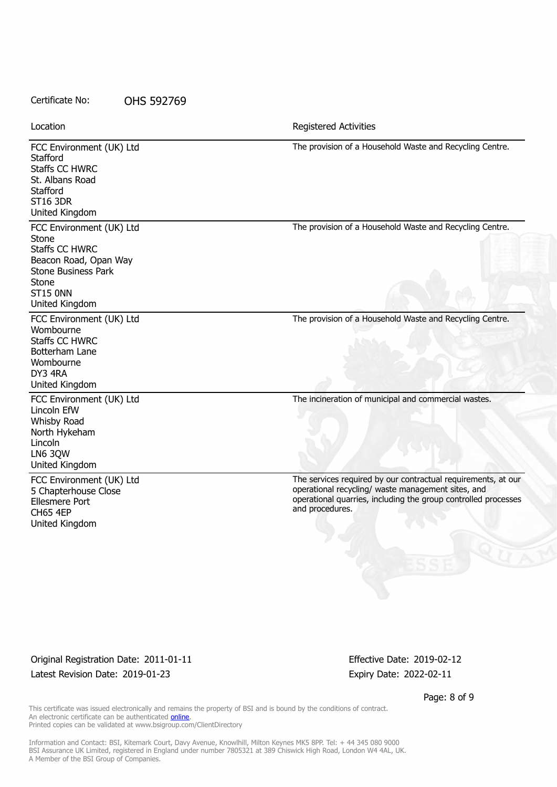FCC Environment (UK) Ltd **Stafford** Staffs CC HWRC St. Albans Road **Stafford** ST16 3DR United Kingdom The provision of a Household Waste and Recycling Centre. FCC Environment (UK) Ltd Stone Staffs CC HWRC Beacon Road, Opan Way Stone Business Park **Stone** ST15 0NN United Kingdom The provision of a Household Waste and Recycling Centre. FCC Environment (UK) Ltd Wombourne Staffs CC HWRC Botterham Lane Wombourne DY3 4RA United Kingdom The provision of a Household Waste and Recycling Centre. FCC Environment (UK) Ltd Lincoln EfW Whisby Road North Hykeham Lincoln LN6 3QW United Kingdom The incineration of municipal and commercial wastes. FCC Environment (UK) Ltd 5 Chapterhouse Close Ellesmere Port CH65 4EP United Kingdom The services required by our contractual requirements, at our operational recycling/ waste management sites, and operational quarries, including the group controlled processes and procedures. Certificate No: OHS 592769 Location **Exercise 2018 Location Registered Activities** 

Original Registration Date: 2011-01-11 **Effective Date: 2019-02-12** Latest Revision Date: 2019-01-23 Expiry Date: 2022-02-11

Page: 8 of 9

This certificate was issued electronically and remains the property of BSI and is bound by the conditions of contract. An electronic certificate can be authenticated **[online](https://pgplus.bsigroup.com/CertificateValidation/CertificateValidator.aspx?CertificateNumber=OHS+592769&ReIssueDate=23%2f01%2f2019&Template=uk)**. Printed copies can be validated at www.bsigroup.com/ClientDirectory